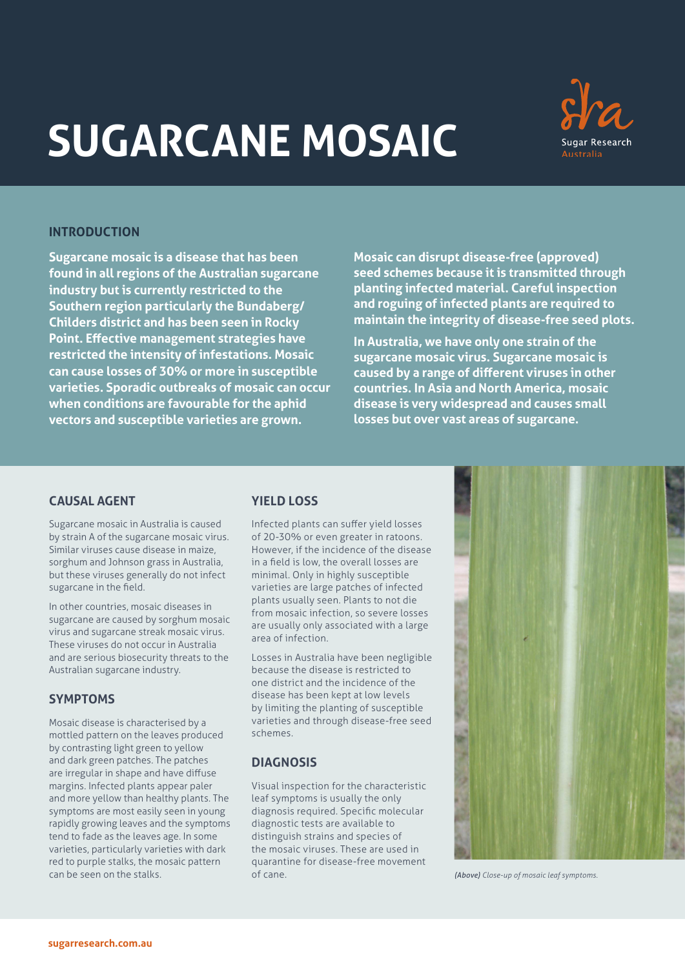# **SUGARCANE MOSAIC**



## **INTRODUCTION**

**Sugarcane mosaic is a disease that has been found in all regions of the Australian sugarcane industry but is currently restricted to the Southern region particularly the Bundaberg/ Childers district and has been seen in Rocky Point. Effective management strategies have restricted the intensity of infestations. Mosaic can cause losses of 30% or more in susceptible varieties. Sporadic outbreaks of mosaic can occur when conditions are favourable for the aphid vectors and susceptible varieties are grown.**

**Mosaic can disrupt disease-free (approved) seed schemes because it is transmitted through planting infected material. Careful inspection and roguing of infected plants are required to maintain the integrity of disease-free seed plots.**

**In Australia, we have only one strain of the sugarcane mosaic virus. Sugarcane mosaic is caused by a range of different viruses in other countries. In Asia and North America, mosaic disease is very widespread and causes small losses but over vast areas of sugarcane.**

# **CAUSAL AGENT**

Sugarcane mosaic in Australia is caused by strain A of the sugarcane mosaic virus. Similar viruses cause disease in maize, sorghum and Johnson grass in Australia, but these viruses generally do not infect sugarcane in the field.

In other countries, mosaic diseases in sugarcane are caused by sorghum mosaic virus and sugarcane streak mosaic virus. These viruses do not occur in Australia and are serious biosecurity threats to the Australian sugarcane industry.

# **SYMPTOMS**

Mosaic disease is characterised by a mottled pattern on the leaves produced by contrasting light green to yellow and dark green patches. The patches are irregular in shape and have diffuse margins. Infected plants appear paler and more yellow than healthy plants. The symptoms are most easily seen in young rapidly growing leaves and the symptoms tend to fade as the leaves age. In some varieties, particularly varieties with dark red to purple stalks, the mosaic pattern can be seen on the stalks.

# **YIELD LOSS**

Infected plants can suffer yield losses of 20-30% or even greater in ratoons. However, if the incidence of the disease in a field is low, the overall losses are minimal. Only in highly susceptible varieties are large patches of infected plants usually seen. Plants to not die from mosaic infection, so severe losses are usually only associated with a large area of infection.

Losses in Australia have been negligible because the disease is restricted to one district and the incidence of the disease has been kept at low levels by limiting the planting of susceptible varieties and through disease-free seed schemes.

# **DIAGNOSIS**

Visual inspection for the characteristic leaf symptoms is usually the only diagnosis required. Specific molecular diagnostic tests are available to distinguish strains and species of the mosaic viruses. These are used in quarantine for disease-free movement of cane. *(Above) Close-up of mosaic leaf symptoms.*